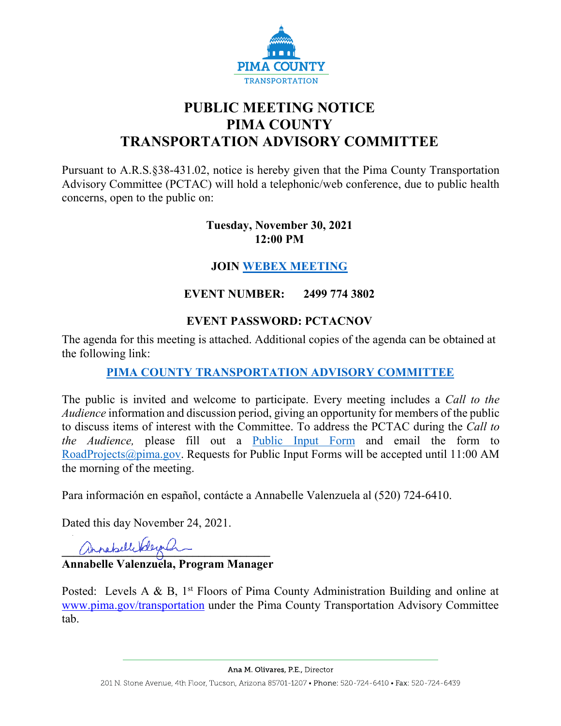

# **PUBLIC MEETING NOTICE PIMA COUNTY TRANSPORTATION ADVISORY COMMITTEE**

Pursuant to A.R.S.§38-431.02, notice is hereby given that the Pima County Transportation Advisory Committee (PCTAC) will hold a telephonic/web conference, due to public health concerns, open to the public on:

#### **Tuesday, November 30, 2021 12:00 PM**

# **JOIN [WEBEX MEETING](https://pimacounty.webex.com/mw3300/mywebex/default.do?siteurl=pimacounty&service=6)**

# **EVENT NUMBER: 2499 774 3802**

## **EVENT PASSWORD: PCTACNOV**

The agenda for this meeting is attached. Additional copies of the agenda can be obtained at the following link:

# **[PIMA COUNTY TRANSPORTATION ADVISORY COMMITTEE](https://webcms.pima.gov/cms/One.aspx?portalId=169&pageId=355530)**

The public is invited and welcome to participate. Every meeting includes a *Call to the Audience* information and discussion period, giving an opportunity for members of the public to discuss items of interest with the Committee. To address the PCTAC during the *Call to the Audience,* please fill out a [Public Input Form](https://webcms.pima.gov/UserFiles/Servers/Server_6/File/Government/Transportation/TransportationAdvisoryCommittee/PCTAC_Speaker_Card.pdf) and email the form to [RoadProjects@pima.gov.](mailto:RoadProjects@pima.gov) Requests for Public Input Forms will be accepted until 11:00 AM the morning of the meeting.

Para información en español, contácte a Annabelle Valenzuela al (520) 724-6410.

Dated this day November 24, 2021.

mondselle belegenham

**Annabelle Valenzuela, Program Manager** 

Posted: Levels A & B,  $1<sup>st</sup>$  Floors of Pima County Administration Building and online at [www.pima.gov/transportation](http://www.pima.gov/transportation) under the Pima County Transportation Advisory Committee tab.